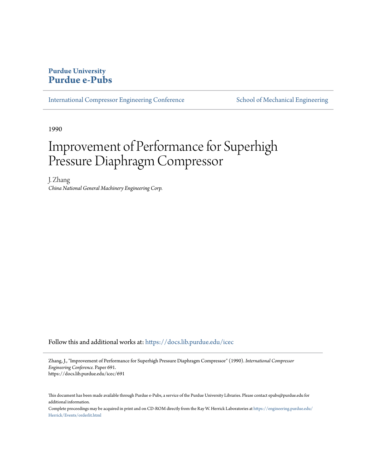## **Purdue University [Purdue e-Pubs](https://docs.lib.purdue.edu?utm_source=docs.lib.purdue.edu%2Ficec%2F691&utm_medium=PDF&utm_campaign=PDFCoverPages)**

[International Compressor Engineering Conference](https://docs.lib.purdue.edu/icec?utm_source=docs.lib.purdue.edu%2Ficec%2F691&utm_medium=PDF&utm_campaign=PDFCoverPages) [School of Mechanical Engineering](https://docs.lib.purdue.edu/me?utm_source=docs.lib.purdue.edu%2Ficec%2F691&utm_medium=PDF&utm_campaign=PDFCoverPages)

1990

# Improvement of Performance for Superhigh Pressure Diaphragm Compressor

J. Zhang *China National General Machinery Engineering Corp.*

Follow this and additional works at: [https://docs.lib.purdue.edu/icec](https://docs.lib.purdue.edu/icec?utm_source=docs.lib.purdue.edu%2Ficec%2F691&utm_medium=PDF&utm_campaign=PDFCoverPages)

Zhang, J., "Improvement of Performance for Superhigh Pressure Diaphragm Compressor" (1990). *International Compressor Engineering Conference.* Paper 691. https://docs.lib.purdue.edu/icec/691

This document has been made available through Purdue e-Pubs, a service of the Purdue University Libraries. Please contact epubs@purdue.edu for additional information.

Complete proceedings may be acquired in print and on CD-ROM directly from the Ray W. Herrick Laboratories at [https://engineering.purdue.edu/](https://engineering.purdue.edu/Herrick/Events/orderlit.html) [Herrick/Events/orderlit.html](https://engineering.purdue.edu/Herrick/Events/orderlit.html)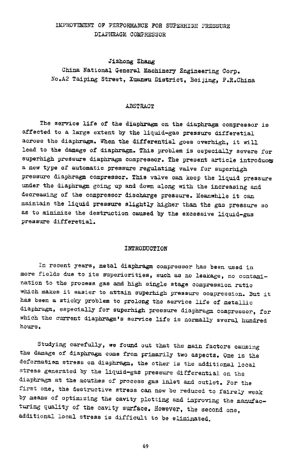#### IMPROVEMENT OF PERFORMANCE FOR SUPERHIGH PRESSURE DIAPHRAGM COMPRESSOR

#### Jizhong Zhang

China National General Machinery Engineering Corp. No.A2 Taiping Street, Xuanwu District, Beijing, P.R.China

#### ABSTRACT

The service life of the diaphragm on the diaphragm compressor is affected to a large extent by the liquid-gas pressure differetial across the diaphragm. When the differential goes overhigh, it will lead to the damage of diaphragm. This problem is especially severe for superhigh pressure diaphragm compressor. The present article introduces a new type of automatic pressure regulating valve for superhigh pressure diaphragm compressor. This valve can keep the liquid pressure under the diaphragm going up and down along with the increasing and decreasing of the compressor discharge pressure. Meanwhile it can maintain the liquid pressure slightly higher than the gas pressure so as to minimize the destruction caused by the excessive liquid-gas pressure differetial.

#### INTRODUCTION

In recent years, metal diaphragm compressor has been used in more fields due to *ita* superiorities, such as no leakage, no contamination to the process gas and high single stage compression ratio which makes it easier to attain superhigh pressure compression. But it has been a sticky problem to prolong the service life of metallic diaphragm, especially for superhigh pressure diaphragm compressor, for which the current diaphragm's service life *is* normally sveral hundred hours.

Studying carefully, we found out that the main factors causing the damage of diaphragm come from primarily two aspects. One is the deformation stress on diaphragm, the other is the additional local stress generated by the liquid-gas pressure differential on the diaphragm at the mouthes of process gas inlet and outlet. For the first one, the destructive stress can now be reduced to fairely weak by means of optimizing the cavity plotting and improving the manufacturing quality of the cavity surface. However, the second one, additional local stress is difficult to be eliminated.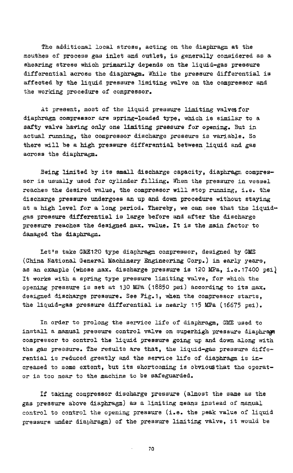The additional local stress, acting on the diaphragm at the mouthes of process gas inlet and outlet, is generally considered as a shearing stress which primarily depends on the liquid-gas pressure differential across the diaphragm. While the pressure differential is affected by the liquid pressure limiting valve on the compressor and the working procedure of compressor.

At present, most of the liquid pressure limiting valves for diaphragm compressor are spring-loaded type, which is similar to a safty valve having only one limiting pressure for opening. But in actual running, the compressor discharge pressure *is* variable. So there will be a high pressure differential between liquid and gas across the diaphragm.

Being limited by its small discharge capacity, diaphragm compressor is usually used for cylinder filling. When the pressure in vessel reaches the desired value, the compressor will stop running, i.e. the discharge pressure undergoes an up and down procedure without staying at a high level for a long period. Thereby, we can see that the liquidgas pressure differential is large before and after the discharge pressure reaches the designed max. value. It is the main factor to damaged the diaphragm.

Let's take GME120 type diaphragm compressor, designed by GME (China National General Machinery Engineering Corp.) *in* early years, as an example (whose max. discharge pressure is 120 MPa, i.e.17400 psil It works with a spring type pressure limiting valve, for which the opening pressure is set at 130 MPa (18850 psi) according to its max. designed discharge pressure. See Fig.1, when the compressor starts, the liquid-gas pressure differential is nearly 115 MPa (16675 *psi).* 

In order to prolong the service life of diaphragm, GME used to install a manual pressure control valve on superhigh pressure diaphragm compressor to control the liquid pressure going up and down along with the gas pressure. The results are that, the liquid-gas pressure differential is reduced greatly and the service life of diaphragm is increased to some extent, but its shortcoming is obviousthat the operator is too near to the machine to be safeguarded.

If taking compressor discharge pressure (almost the same as the gas pressure above diaphragm) as a limiting means instead of manual control to control the opening pressure (i.e. the peak value of liquid pressure under diaphragm) of the pressure limiting valve, it would be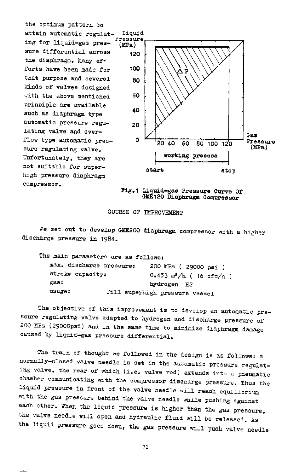the optimum pattern to attain automatic regulat- Liquid ing for liquid-gas pressure differential across 120 the diaphragm. Many  $ef \div$ forts have been made for 100 that purpose and several 80 kinds of valves designed with the above mentioned principle are available such as diaphragm type automatic pressure regulating valve and overflow type automatic pressure regulating *valve.*  Unfortunately, they are not suitable for superhigh pressure diaphragm compressor.



:Pig.1 Liquid-gas Pressure Curve Of GME120 Diaphragm Compressor

#### COURSE OF IMPROVEMENT

We set out to develop GME200 diaphragm compressor with a higher discharge pressure in 1984.

|                  | The main parameters are as follows: |                                |
|------------------|-------------------------------------|--------------------------------|
|                  | max. discharge pressure:            | 200 MPa (29000 psi)            |
| stroke capacity: |                                     | $0.453$ $m^3/h$ (16 cft/h)     |
| gas:             |                                     | hydrogen H2                    |
| usage:           |                                     | fill superhigh pressure vessel |

The objective of this improvement is to develop an automatic pressure regulating *valve* adapted to hydrogen and discharge pressure of <sup>200</sup>MPa (29000psi) and in the same time to minimize diaphragm damage caused by liquid-gas pressure differential.

The train of thought we followed in the design *is* as follows: <sup>a</sup> normally-closed valve needle is set in the automatic pressure regulating valve, the rear of which (i.e. valve rod) extends into a pneumatic chamber communicating with the compressor discharge pressure. Thus the liquid pressure in front of the valve needle will reach equilibrium with the gas pressure behind the valve needle while pushing against each other. When the liquid pressure is higher than the gas pressure, the valve needle will open and hydraulic fluid will be released. As the liquid pressure goes down, the gas pressure will push valve needle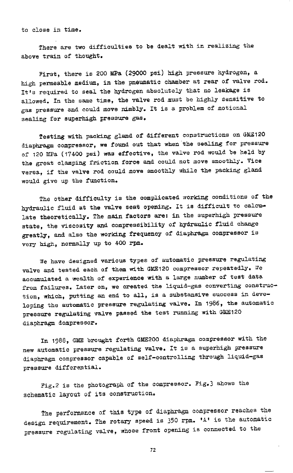to close in time.

There are two difficulties to be dealt with in realizing the above train of thought.

First, there is 200 MPa (29000 psi) high pressure hydrogen, <sup>a</sup> high permeable medium, in the pneumatic chamber at rear of valve rod. It's required to seal the hydrogen absolutely that no leakage is allowed. In the same time, the valve rod must be highly sensitive to gas pressure and could move nimbly. It is a problem of motional sealing for superhigh pressure gas.

Testing with packing gland of different constructions on GME120 diaphragm compressor, we found out that when-the sealing for pressure of 120 MPa (17400 psi) was effective, the valve rod would be held by the great clamping friction force and could not move smoothly. Vice versa, if the valve rod could move smoothly while the packing gland would give up the function.

The other difficulty is the complicated working conditions of the hydraulic fluid at the valve seat opening. It is difficult to calculate theoretically. The main factors are: in the superhigh pressure state, the viscosity and compressibility of hydraulic fluid change greatly, and also the working frequency of diaphragm compressor is very high, normally up to 400 rpm.

We have designed various types of automatic pressure regulating valve and tested each of them with GME120 compressor repeatedly. We accumulated a wealth of experience with a large number of test data from failures. Later on, we created the liquid-gas converting construction, which, putting an end to all, is a substansive success in developing the automatic pressure regulating valve. In 1986, the automatic pressure regulating valve passed the test running with GME120 diaphragm dompressor.

In 1988, GME brought forth GME200 diaphragm compressor with the new automatic pressure regulating valve. It is a superhigh pressure diaphragm compressor capable of self-controlling through liquid-gas pressure differential.

Fig.2 is the photograph of the compressor. Fig.3 ahows the schematic layout of its construction.

The performance of this type of diaphragm compressor reaches the design requirement. The rotary speed is 350 rpm. 'A' is the automatic pressure regulating valve, whose front opening is connected to the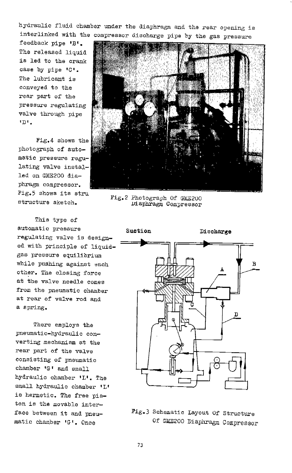hydraulic fluid chamber under the diaphragm and the rear opening is interlinked with the compressor discharge *pipe* by the gas pressure

feedback pipe 'B'. The released liquid is led to the crank case by *pipe* •c•. The lubricant is conveyed to the rear part of the pressure regulating valve through *pipe 'D'* •

Fig.4 shows the photograph of automatic pressure regulating valve installed on GME200 dia<sup>p</sup>hragm compressor. Fig.5 shows its stru

This type of automatic pressure regulating valve is designed with principle of liquidgas pressure equilibrium while pushing against each other. The closing force at the valve needle comes from the pneumatic chamber at rear of valve rod and <sup>a</sup>spring.

There employs the pneumatic-hydraulic converting mechanism at the rear part of the valve consisting of pneumatic chamber 'G' and small hydraulic chamber 'L'. The small hydraulic chamber 'L' *is* hermetic. The free piston is the movable interface between it and pneumatic chamber 'G'. Once



structure sketch. Fig.2 Photograph Of GME200 structure sketch. Viaphragm Compressor



Fig.3 Schematic Layout Of Structure Of GME200 Diaphragm Compressor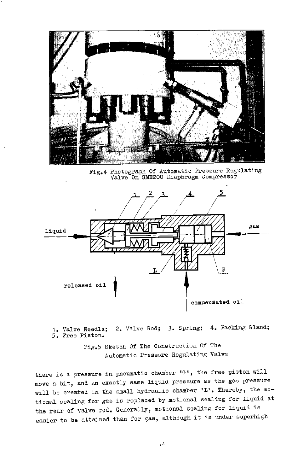

Fig.4 Photograph Of Automatic Pressure Regulating Valve On GME200 Diaphragm Compressor



1. Valve Needle; 2. Valve Rod; 3. Spring; 4. Packing Gland; 5. Free Piston.

> Fig.5 Sketch Of The Construction Of The Automatic Pressure Regulating Valve

there is a pressure in pneumatic chamber  $G^t$ , the free piston will move a bit, and an exactly same liquid pressure as the gas pressure will be created in the small hydraulic chamber 'L'. Thereby; the motional sealing for gas is replaced by motional sealing for liquid at the rear of valve rod. Generally, motional sealing for liquid is easier to be attained than for gas, although it is under superhigh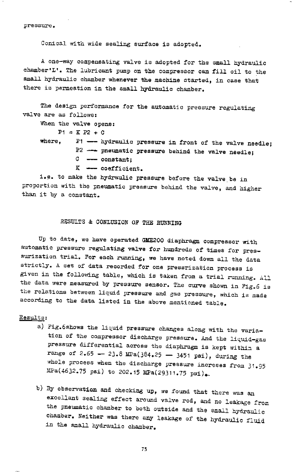pressure.

Conical with *wide* sealing surface *is* adopted.

<sup>A</sup>one-way compensating valve *is* adopted for the small hydraulic chamber'L'. The lubricant pump on the compressor can fill oil to the small hydraulic chamber whenever the machine started, in case that there is permeation in the small hydraulic chamber.

The design performance for the automatic pressure regulating valve are as follows:

When the valve opens:

 $P1 = K P2 + C$ 

- where,  $P1$  -- hydraulic pressure in front of the valve needle;  $P2 \longrightarrow$  pneumatic pressure behind the valve needle;  $C$  -- constant:
	- $K$  coefficient.

i.e. to make the hydraulic pressure before the valve be in proportion with the pneumatic pressure behind the valve, and higher than it by a constant.

### RESULTS & CONLUSION OF THE RUNNING

Up to date, we have operated GME200 diaphragm compressor with automatic pressure regulating valve for hundreds of times for pressurization trial. For each running, we have noted down all the data strictly. A set of data recorded for one pressrization process is given in the following table, which is taken from a trial running. All the data were measured by pressure sensor. The curve shown in Fig.6 is the relations between liquid pressure and gas pressure, which is made according to the data listed in the above mentioned table.

#### Results:

- a) Fig.6shows the liquid pressure changes along with the variation of the compressor discharge pressure. And the liquid-gas pressure differential across the diaphragm is kept within a range of 2.65 -- 23.8 MPa(384.25 - 3451 psi), during the whole process when the discharge pressure increses from 31.95  $MPa(4632.75 \text{ psi})$  to 202.15 MPa(29311.75 psi).
- b) By observation and checking up, we found that there was an excellant sealing effect around valve rod, and no leakage from the pneumatic chamber to both outside and the small hydraulic chamber. Neither was there any leakage of the hydraulic fluid in the small hydraulic chamber.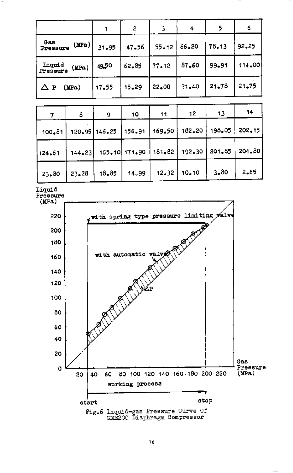|                    |          | 1       | $\overline{2}$ | 3      | 4      | 5      | 6          |
|--------------------|----------|---------|----------------|--------|--------|--------|------------|
| Gas<br>Pressure    | (MPa)    | 31.95   | 47.56          | 55.12  | 66.20  | 78.13  | 92.25      |
| Liquid<br>Pressure | (MPa)    | 49,50   | 62.85          | 77.12  | 87.60  | 99.91  | 114.00     |
| △₽                 | (MPa)    | 17.55   | 15.29          | 22.00  | 21.40  | 21.78  | 21.75      |
|                    |          |         |                |        |        |        |            |
| 7                  | 8        | 9       | 10             | 11     | 12     | 13     | 14         |
| 100.81             | $120-95$ | 146.25  | 156.91         | 169.50 | 182.20 | 198.05 | $202 - 15$ |
| 124.61             | 144.23   | 165, 10 | 171.90         | 181.82 | 192.30 | 201.85 | 204.80     |
| 23.80              | 23.28    | 18.85   | 14.99          | 12.32  | 10.10  | 3.80   | 2.65       |

LiqUid



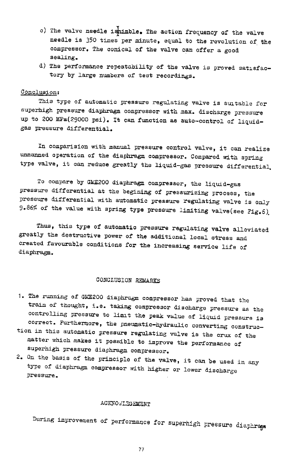- c) The valve needle ishimble. The action frequency of the valve needle is 350 times per minute, equal to the revolution of the compressor. The conical of the valve can offer a good sealing.
- d) The performance repeatability of the valve is proved satisfactory by large numbers of test recordings.

#### Conclusion:

This type of automatic pressure regulating valve is suitable for superhigh pressure diaphragm compressor with max. discharge pressure up to 200 MPa(29000 psi). It can function as auto-control of liquidgas pressure differential.

In comparision with manual pressure control valve, it can realize unmanned operation of the diaphragm compressor. Compared with spring type valve, it can reduce greatly the liquid-gas pressure differential.

To compare by GME200 diaphragm compressor, the liquid-gas pressure differential at the begining of pressurizing process, the pressure differential with automatic pressure regulating valve is only 9.86% of the value with spring type pressure limiting valve(see Fig.6).

Thus, this type of automatic pressure regulating valve alleviated greatly the destructive power of the additional local stress and created favourable conditions for the increasing service life of diaphragm.

#### CONCLUSION ~~

- 1. The running of GME200 diaphragm compressor has proved that the train of thought, i.e. taking compressor discharge pressure as the controlling pressure to limit the peak value of liquid pressure is correct. Furthermore, the pneumatic-hYdraulic converting construc-
- tion in this automatic pressure regulating valve is the crux of the matter which makes it possible to improve the performance of superhigh pressure diaphragm compressor.
- 2. On the basis of the principle of the valve, it can be used in any type of diaphragm compressor with higher or lower discharge pressure.

#### ACKNOWLEGEMENT

During improvement of performance for superhigh pressure diaphregs